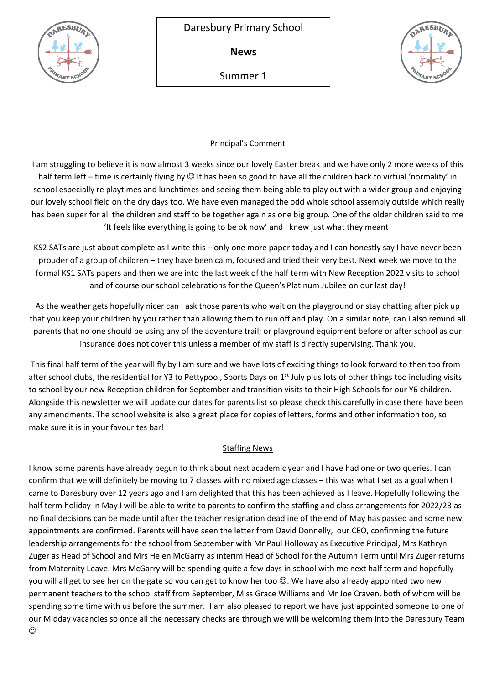

**News**

Summer 1



# Principal's Comment

I am struggling to believe it is now almost 3 weeks since our lovely Easter break and we have only 2 more weeks of this half term left – time is certainly flying by  $\odot$  It has been so good to have all the children back to virtual 'normality' in school especially re playtimes and lunchtimes and seeing them being able to play out with a wider group and enjoying our lovely school field on the dry days too. We have even managed the odd whole school assembly outside which really has been super for all the children and staff to be together again as one big group. One of the older children said to me 'It feels like everything is going to be ok now' and I knew just what they meant!

KS2 SATs are just about complete as I write this – only one more paper today and I can honestly say I have never been prouder of a group of children – they have been calm, focused and tried their very best. Next week we move to the formal KS1 SATs papers and then we are into the last week of the half term with New Reception 2022 visits to school and of course our school celebrations for the Queen's Platinum Jubilee on our last day!

As the weather gets hopefully nicer can I ask those parents who wait on the playground or stay chatting after pick up that you keep your children by you rather than allowing them to run off and play. On a similar note, can I also remind all parents that no one should be using any of the adventure trail; or playground equipment before or after school as our insurance does not cover this unless a member of my staff is directly supervising. Thank you.

This final half term of the year will fly by I am sure and we have lots of exciting things to look forward to then too from after school clubs, the residential for Y3 to Pettypool, Sports Days on 1<sup>st</sup> July plus lots of other things too including visits to school by our new Reception children for September and transition visits to their High Schools for our Y6 children. Alongside this newsletter we will update our dates for parents list so please check this carefully in case there have been any amendments. The school website is also a great place for copies of letters, forms and other information too, so make sure it is in your favourites bar!

# Staffing News

I know some parents have already begun to think about next academic year and I have had one or two queries. I can confirm that we will definitely be moving to 7 classes with no mixed age classes – this was what I set as a goal when I came to Daresbury over 12 years ago and I am delighted that this has been achieved as I leave. Hopefully following the half term holiday in May I will be able to write to parents to confirm the staffing and class arrangements for 2022/23 as no final decisions can be made until after the teacher resignation deadline of the end of May has passed and some new appointments are confirmed. Parents will have seen the letter from David Donnelly, our CEO, confirming the future leadership arrangements for the school from September with Mr Paul Holloway as Executive Principal, Mrs Kathryn Zuger as Head of School and Mrs Helen McGarry as interim Head of School for the Autumn Term until Mrs Zuger returns from Maternity Leave. Mrs McGarry will be spending quite a few days in school with me next half term and hopefully you will all get to see her on the gate so you can get to know her too  $\odot$ . We have also already appointed two new permanent teachers to the school staff from September, Miss Grace Williams and Mr Joe Craven, both of whom will be spending some time with us before the summer. I am also pleased to report we have just appointed someone to one of our Midday vacancies so once all the necessary checks are through we will be welcoming them into the Daresbury Team  $\odot$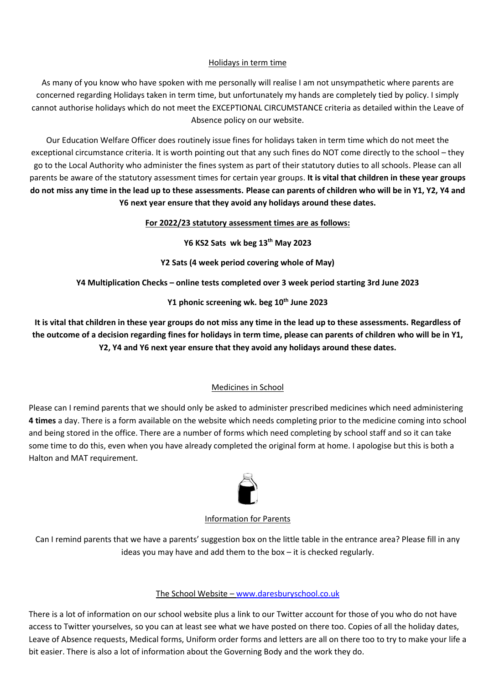# Holidays in term time

As many of you know who have spoken with me personally will realise I am not unsympathetic where parents are concerned regarding Holidays taken in term time, but unfortunately my hands are completely tied by policy. I simply cannot authorise holidays which do not meet the EXCEPTIONAL CIRCUMSTANCE criteria as detailed within the Leave of Absence policy on our website.

Our Education Welfare Officer does routinely issue fines for holidays taken in term time which do not meet the exceptional circumstance criteria. It is worth pointing out that any such fines do NOT come directly to the school – they go to the Local Authority who administer the fines system as part of their statutory duties to all schools. Please can all parents be aware of the statutory assessment times for certain year groups. **It is vital that children in these year groups do not miss any time in the lead up to these assessments. Please can parents of children who will be in Y1, Y2, Y4 and Y6 next year ensure that they avoid any holidays around these dates.**

# **For 2022/23 statutory assessment times are as follows:**

**Y6 KS2 Sats wk beg 13th May 2023**

**Y2 Sats (4 week period covering whole of May)** 

**Y4 Multiplication Checks – online tests completed over 3 week period starting 3rd June 2023**

**Y1 phonic screening wk. beg 10th June 2023**

**It is vital that children in these year groups do not miss any time in the lead up to these assessments. Regardless of the outcome of a decision regarding fines for holidays in term time, please can parents of children who will be in Y1, Y2, Y4 and Y6 next year ensure that they avoid any holidays around these dates.**

# Medicines in School

Please can I remind parents that we should only be asked to administer prescribed medicines which need administering **4 times** a day. There is a form available on the website which needs completing prior to the medicine coming into school and being stored in the office. There are a number of forms which need completing by school staff and so it can take some time to do this, even when you have already completed the original form at home. I apologise but this is both a Halton and MAT requirement.



## Information for Parents

Can I remind parents that we have a parents' suggestion box on the little table in the entrance area? Please fill in any ideas you may have and add them to the box – it is checked regularly.

# The School Website – [www.daresburyschool.co.uk](http://www.daresburyschool.co.uk/)

There is a lot of information on our school website plus a link to our Twitter account for those of you who do not have access to Twitter yourselves, so you can at least see what we have posted on there too. Copies of all the holiday dates, Leave of Absence requests, Medical forms, Uniform order forms and letters are all on there too to try to make your life a bit easier. There is also a lot of information about the Governing Body and the work they do.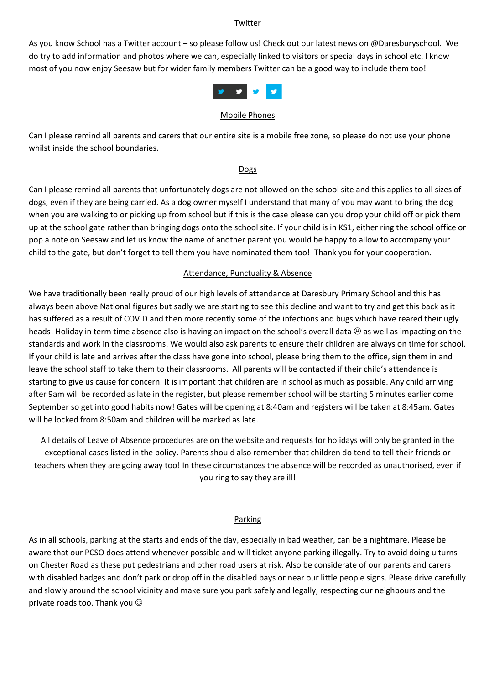#### Twitter

As you know School has a Twitter account – so please follow us! Check out our latest news on @Daresburyschool. We do try to add information and photos where we can, especially linked to visitors or special days in school etc. I know most of you now enjoy Seesaw but for wider family members Twitter can be a good way to include them too!



#### Mobile Phones

Can I please remind all parents and carers that our entire site is a mobile free zone, so please do not use your phone whilst inside the school boundaries.

#### **Dogs**

Can I please remind all parents that unfortunately dogs are not allowed on the school site and this applies to all sizes of dogs, even if they are being carried. As a dog owner myself I understand that many of you may want to bring the dog when you are walking to or picking up from school but if this is the case please can you drop your child off or pick them up at the school gate rather than bringing dogs onto the school site. If your child is in KS1, either ring the school office or pop a note on Seesaw and let us know the name of another parent you would be happy to allow to accompany your child to the gate, but don't forget to tell them you have nominated them too! Thank you for your cooperation.

## Attendance, Punctuality & Absence

We have traditionally been really proud of our high levels of attendance at Daresbury Primary School and this has always been above National figures but sadly we are starting to see this decline and want to try and get this back as it has suffered as a result of COVID and then more recently some of the infections and bugs which have reared their ugly heads! Holiday in term time absence also is having an impact on the school's overall data  $\otimes$  as well as impacting on the standards and work in the classrooms. We would also ask parents to ensure their children are always on time for school. If your child is late and arrives after the class have gone into school, please bring them to the office, sign them in and leave the school staff to take them to their classrooms. All parents will be contacted if their child's attendance is starting to give us cause for concern. It is important that children are in school as much as possible. Any child arriving after 9am will be recorded as late in the register, but please remember school will be starting 5 minutes earlier come September so get into good habits now! Gates will be opening at 8:40am and registers will be taken at 8:45am. Gates will be locked from 8:50am and children will be marked as late.

All details of Leave of Absence procedures are on the website and requests for holidays will only be granted in the exceptional cases listed in the policy. Parents should also remember that children do tend to tell their friends or teachers when they are going away too! In these circumstances the absence will be recorded as unauthorised, even if you ring to say they are ill!

## Parking

As in all schools, parking at the starts and ends of the day, especially in bad weather, can be a nightmare. Please be aware that our PCSO does attend whenever possible and will ticket anyone parking illegally. Try to avoid doing u turns on Chester Road as these put pedestrians and other road users at risk. Also be considerate of our parents and carers with disabled badges and don't park or drop off in the disabled bays or near our little people signs. Please drive carefully and slowly around the school vicinity and make sure you park safely and legally, respecting our neighbours and the private roads too. Thank you